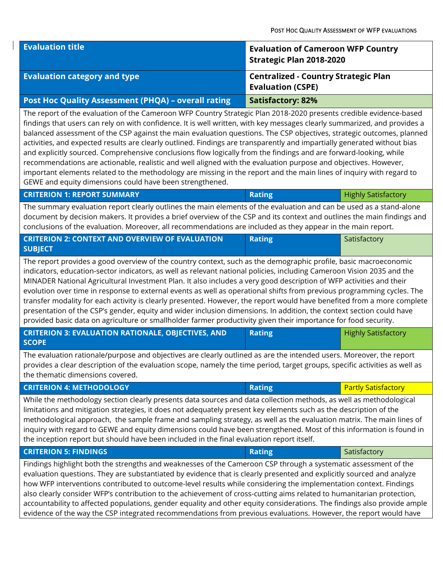| <b>Evaluation title</b>                             | <b>Evaluation of Cameroon WFP Country</b><br>Strategic Plan 2018-2020   |
|-----------------------------------------------------|-------------------------------------------------------------------------|
| <b>Evaluation category and type</b>                 | <b>Centralized - Country Strategic Plan</b><br><b>Evaluation (CSPE)</b> |
| Post Hoc Quality Assessment (PHQA) - overall rating | <b>Satisfactory: 82%</b>                                                |

The report of the evaluation of the Cameroon WFP Country Strategic Plan 2018-2020 presents credible evidence-based findings that users can rely on with confidence. It is well written, with key messages clearly summarized, and provides a balanced assessment of the CSP against the main evaluation questions. The CSP objectives, strategic outcomes, planned activities, and expected results are clearly outlined. Findings are transparently and impartially generated without bias and explicitly sourced. Comprehensive conclusions flow logically from the findings and are forward-looking, while recommendations are actionable, realistic and well aligned with the evaluation purpose and objectives. However, important elements related to the methodology are missing in the report and the main lines of inquiry with regard to GEWE and equity dimensions could have been strengthened.

| CNILANON I. REFORI SOMINARI                                                                                             | <b>NGUILLE</b> | i Tiigiily Jausiactoly I |
|-------------------------------------------------------------------------------------------------------------------------|----------------|--------------------------|
| The summary evaluation report clearly outlines the main elements of the evaluation and can be used as a stand-alone     |                |                          |
| document by decision makers. It provides a brief overview of the CSP and its context and outlines the main findings and |                |                          |
| conclusions of the evaluation. Moreover, all recommendations are included as they appear in the main report.            |                |                          |

**CRITERION 1: REPORT SUMMARY Rating** Highly Satisfactory **Rating** Highly Satisfactory **Rating** 

| <b>CRITERION 2: CONTEXT AND OVERVIEW OF EVALUATION</b> | <b>Rating</b> | Satisfactory |
|--------------------------------------------------------|---------------|--------------|
| <b>SUBJECT</b>                                         |               |              |

The report provides a good overview of the country context, such as the demographic profile, basic macroeconomic indicators, education-sector indicators, as well as relevant national policies, including Cameroon Vision 2035 and the MINADER National Agricultural Investment Plan. It also includes a very good description of WFP activities and their evolution over time in response to external events as well as operational shifts from previous programming cycles. The transfer modality for each activity is clearly presented. However, the report would have benefited from a more complete presentation of the CSP's gender, equity and wider inclusion dimensions. In addition, the context section could have provided basic data on agriculture or smallholder farmer productivity given their importance for food security.

| <b>CRITERION 3: EVALUATION RATIONALE, OBJECTIVES, AND</b><br><b>SCOPE</b> | Rating | <b>Highly Satisfactory</b> |
|---------------------------------------------------------------------------|--------|----------------------------|
|                                                                           |        |                            |

The evaluation rationale/purpose and objectives are clearly outlined as are the intended users. Moreover, the report provides a clear description of the evaluation scope, namely the time period, target groups, specific activities as well as the thematic dimensions covered.

| <b>CRITERION 4: METHODOLOGY</b>                                                                                      | Rating | <b>Partly Satisfactory</b> |
|----------------------------------------------------------------------------------------------------------------------|--------|----------------------------|
| While the methodology section clearly presents data sources and data collection methods, as well as methodological   |        |                            |
| limitations and mitigation strategies, it does not adequately present key elements such as the description of the    |        |                            |
| methodological approach, the sample frame and sampling strategy, as well as the evaluation matrix. The main lines of |        |                            |
| inguiry with regard to GEWE and equity dimensions could have been strengthened. Most of this information is found in |        |                            |

the inception report but should have been included in the final evaluation report itself. **CRITERION 5: FINDINGS Rating Satisfactory** Satisfactory

Findings highlight both the strengths and weaknesses of the Cameroon CSP through a systematic assessment of the evaluation questions. They are substantiated by evidence that is clearly presented and explicitly sourced and analyze how WFP interventions contributed to outcome-level results while considering the implementation context. Findings also clearly consider WFP's contribution to the achievement of cross-cutting aims related to humanitarian protection, accountability to affected populations, gender equality and other equity considerations. The findings also provide ample evidence of the way the CSP integrated recommendations from previous evaluations. However, the report would have